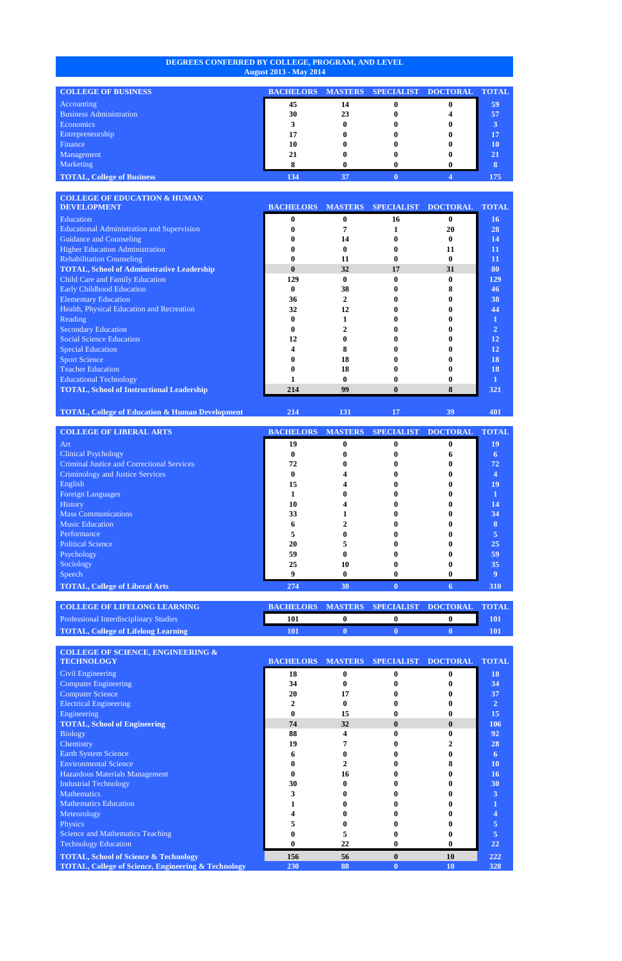## **DEGREES CONFERRED BY COLLEGE, PROGRAM, AND LEVEL August 2013 - May 2014**

| <b>COLLEGE OF BUSINESS</b>        | <b>BACHELORS</b> |    | MASTERS SPECIALIST DOCTORAL | <b>TOTAL</b> |
|-----------------------------------|------------------|----|-----------------------------|--------------|
| Accounting                        | 45               | 14 |                             | 59           |
| <b>Business Administration</b>    | 30               | 23 |                             | 57           |
| <b>Economics</b>                  |                  |    |                             |              |
| Entrepreneurship                  |                  |    |                             | 17           |
| Finance                           | 10               |    |                             | 10           |
| Management                        |                  |    |                             | 21           |
| Marketing                         |                  |    |                             |              |
| <b>TOTAL, College of Business</b> | 134              | 37 |                             | 175          |

| <b>COLLEGE OF EDUCATION &amp; HUMAN</b>           |                  |                |                   |                 |                |
|---------------------------------------------------|------------------|----------------|-------------------|-----------------|----------------|
| <b>DEVELOPMENT</b>                                | <b>BACHELORS</b> | <b>MASTERS</b> | <b>SPECIALIST</b> | <b>DOCTORAL</b> | <b>TOTAL</b>   |
| Education                                         |                  | 0              | 16                |                 | <b>16</b>      |
| <b>Educational Administration and Supervision</b> |                  |                |                   | 20              | 28             |
| Guidance and Counseling                           |                  | 14             |                   |                 | 14             |
| <b>Higher Education Administration</b>            |                  |                |                   | 11              | 11             |
| <b>Rehabilitation Counseling</b>                  |                  | 11             |                   |                 | 11             |
| <b>TOTAL, School of Administrative Leadership</b> | $\mathbf{0}$     | 32             | 17                | 31              | 80             |
| Child Care and Family Education                   | 129              | 0              |                   |                 | 129            |
| <b>Early Childhood Education</b>                  |                  | 38             |                   |                 | 46             |
| <b>Elementary Education</b>                       | 36               | 2              |                   |                 | 38             |
| Health, Physical Education and Recreation         | 32               | 12             |                   |                 | 44             |
| Reading                                           |                  |                |                   |                 |                |
| <b>Secondary Education</b>                        |                  |                |                   |                 | $\overline{2}$ |
| <b>Social Science Education</b>                   | 12               |                |                   |                 | 12             |
| <b>Special Education</b>                          |                  |                |                   |                 | 12             |
| <b>Sport Science</b>                              |                  | 18             |                   |                 | 18             |
| <b>Teacher Education</b>                          |                  | 18             |                   |                 | 18             |
| <b>Educational Technology</b>                     |                  |                |                   |                 |                |
| <b>TOTAL, School of Instructional Leadership</b>  | 214              | 99             |                   |                 | 321            |
|                                                   |                  |                |                   |                 |                |

**TOTAL, College of Education & Human Development 214 131 17 39 401**

**COLLEGE OF LIBERAL ARTS BACHELORS MASTERS SPECIALIST DOCTORAL TOTAL** Art **19 0 0 0 19** Clinical Psychology **0 0 0 6 6** Criminal Justice and Correctional Services **72 0 0 0 72** Criminology and Justice Services **0 4 0 0 4** English **15 4 0 0 19** Foreign Languages **1 0 0 0 1** History **10 4 0 0 14** Mass Communications **33 1 0 0 34 Music Education 6 2 0 0 8 8 1 6 2 0 0 8 8 1 1 6 1 6 1 1 1 6 1 1 6 1 1 6 1 6 1 1 6 1 1 6 1 1 6 1 1 6 1 1 6 1 1 6 1 1 6** Performance **5 0 0 0 5** Political Science **20 5 0 0 25** Psychology **59 0 0 0 59** Sociology **25 10 0 0 35** Speech **9 0 0 0 9 TOTAL, College of Liberal Arts 274 30 0 6 310**

| <b>COLLEGE OF LIFELONG LEARNING</b>           | BACHELORS MASTERS SPECIALIST DOCTORAL TOTAL |  |     |
|-----------------------------------------------|---------------------------------------------|--|-----|
| <b>Professional Interdisciplinary Studies</b> |                                             |  | 101 |
| <b>TOTAL, College of Lifelong Learning</b>    |                                             |  |     |

| <b>COLLEGE OF SCIENCE, ENGINEERING &amp;</b>                   |                          |              |                   |                 |                |
|----------------------------------------------------------------|--------------------------|--------------|-------------------|-----------------|----------------|
| <b>TECHNOLOGY</b>                                              | <b>BACHELORS MASTERS</b> |              | <b>SPECIALIST</b> | <b>DOCTORAL</b> | <b>TOTAL</b>   |
| Civil Engineering                                              | 18                       | $\mathbf{0}$ |                   |                 | 18             |
| <b>Computer Engineering</b>                                    | 34                       |              |                   |                 | 34             |
| <b>Computer Science</b>                                        | 20                       | 17           |                   |                 | 37             |
| <b>Electrical Engineering</b>                                  |                          |              |                   |                 | $\overline{2}$ |
| Engineering                                                    |                          | 15           |                   |                 | 15             |
| <b>TOTAL, School of Engineering</b>                            | 74                       | 32           | $\mathbf{0}$      | 0               | 106            |
| <b>Biology</b>                                                 | 88                       |              |                   |                 | 92             |
| Chemistry                                                      | 19                       |              |                   |                 | 28             |
| Earth System Science                                           |                          |              |                   |                 | 6              |
| <b>Environmental Science</b>                                   |                          |              |                   |                 | 10             |
| Hazardous Materials Management                                 |                          | 16           |                   |                 | 16             |
| <b>Industrial Technology</b>                                   | 30                       |              |                   |                 | 30             |
| <b>Mathematics</b>                                             |                          |              |                   |                 | 3              |
| <b>Mathematics Education</b>                                   |                          |              |                   |                 |                |
| Meteorology                                                    |                          |              |                   |                 |                |
| Physics                                                        |                          |              |                   |                 | 5              |
| <b>Science and Mathematics Teaching</b>                        |                          |              |                   |                 | 5              |
| <b>Technology Education</b>                                    |                          | 22           |                   |                 | 22             |
| <b>TOTAL, School of Science &amp; Technology</b>               | 156                      | 56           | $\bf{0}$          | <b>10</b>       | 222            |
| <b>TOTAL, College of Science, Engineering &amp; Technology</b> | 230                      | 88           |                   | <b>10</b>       | 328            |